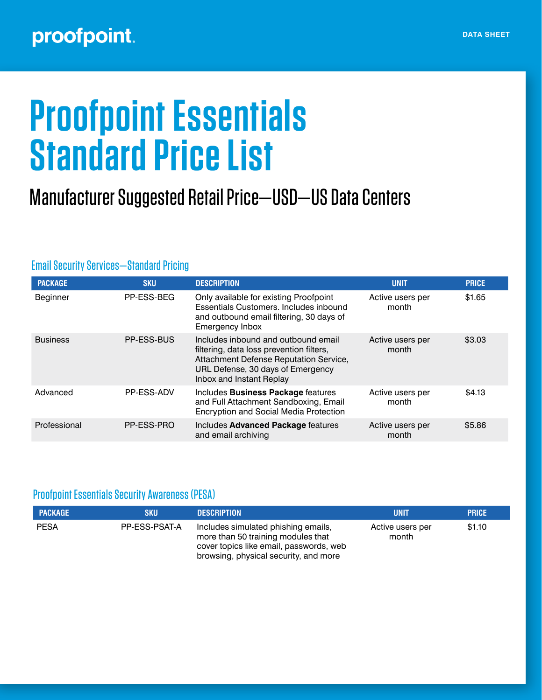## proofpoint.

# **Proofpoint Essentials Standard Price List**

## Manufacturer Suggested Retail Price—USD—US Data Centers

| <b>PACKAGE</b>  | <b>SKU</b> | <b>DESCRIPTION</b>                                                                                                                                                                         | <b>UNIT</b>               | <b>PRICE</b> |
|-----------------|------------|--------------------------------------------------------------------------------------------------------------------------------------------------------------------------------------------|---------------------------|--------------|
| Beginner        | PP-ESS-BEG | Only available for existing Proofpoint<br>Essentials Customers, Includes inbound<br>and outbound email filtering, 30 days of<br>Emergency Inbox                                            | Active users per<br>month | \$1.65       |
| <b>Business</b> | PP-ESS-BUS | Includes inbound and outbound email<br>filtering, data loss prevention filters,<br>Attachment Defense Reputation Service,<br>URL Defense, 30 days of Emergency<br>Inbox and Instant Replay | Active users per<br>month | \$3.03       |
| Advanced        | PP-ESS-ADV | Includes Business Package features<br>and Full Attachment Sandboxing, Email<br><b>Encryption and Social Media Protection</b>                                                               | Active users per<br>month | \$4.13       |
| Professional    | PP-ESS-PRO | Includes Advanced Package features<br>and email archiving                                                                                                                                  | Active users per<br>month | \$5.86       |

#### Email Security Services—Standard Pricing

#### Proofpoint Essentials Security Awareness (PESA)

| <b>PACKAGE</b> | SKU           | <b>DESCRIPTION</b>                                                                                                                                            | UNIT                      | <b>PRICE</b> |
|----------------|---------------|---------------------------------------------------------------------------------------------------------------------------------------------------------------|---------------------------|--------------|
| <b>PESA</b>    | PP-ESS-PSAT-A | Includes simulated phishing emails,<br>more than 50 training modules that<br>cover topics like email, passwords, web<br>browsing, physical security, and more | Active users per<br>month | \$1.10       |